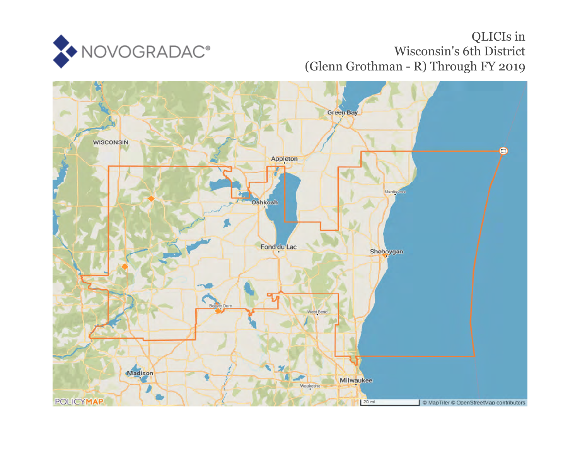

## QLICIs in Wisconsin's 6th District (Glenn Grothman - R) Through FY 2019